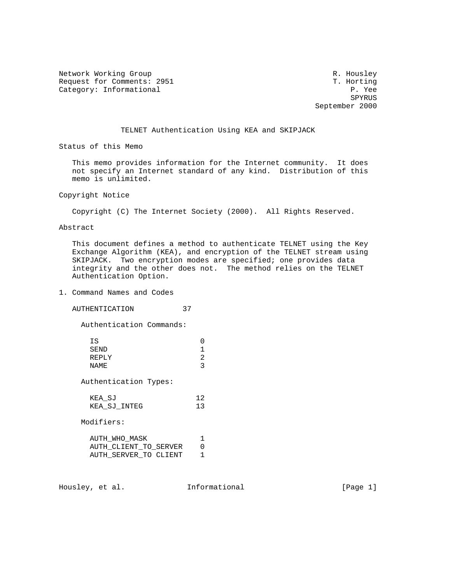Network Working Group and the set of the set of the set of the R. Housley Request for Comments: 2951 T. Horting<br>
Category: Informational P. Yee Category: Informational  $P.$  Yee<br>SPYRUS

SPYRUS AND THE RESERVE OF THE RESERVE OF THE RESERVE OF THE RESERVE OF THE RESERVE OF THE RESERVE OF THE RESERVE OF THE RESERVE OF THE RESERVE OF THE RESERVE OF THE RESERVE OF THE RESERVE OF THE RESERVE OF THE RESERVE OF T September 2000

## TELNET Authentication Using KEA and SKIPJACK

Status of this Memo

 This memo provides information for the Internet community. It does not specify an Internet standard of any kind. Distribution of this memo is unlimited.

Copyright Notice

Copyright (C) The Internet Society (2000). All Rights Reserved.

Abstract

 This document defines a method to authenticate TELNET using the Key Exchange Algorithm (KEA), and encryption of the TELNET stream using SKIPJACK. Two encryption modes are specified; one provides data integrity and the other does not. The method relies on the TELNET Authentication Option.

## 1. Command Names and Codes

AUTHENTICATION 37

Authentication Commands:

| ΤS.<br>SEND<br>REPLY<br>NAME.                                   | 1<br>$\mathcal{L}$<br>3 |
|-----------------------------------------------------------------|-------------------------|
| Authentication Types:                                           |                         |
| KEA SJ<br>KEA SJ INTEG                                          | 12<br>13                |
| Modifiers:                                                      |                         |
| AUTH WHO MASK<br>AUTH CLIENT TO SERVER<br>AUTH SERVER TO CLIENT | 1<br>U                  |

Housley, et al. **Informational** [Page 1]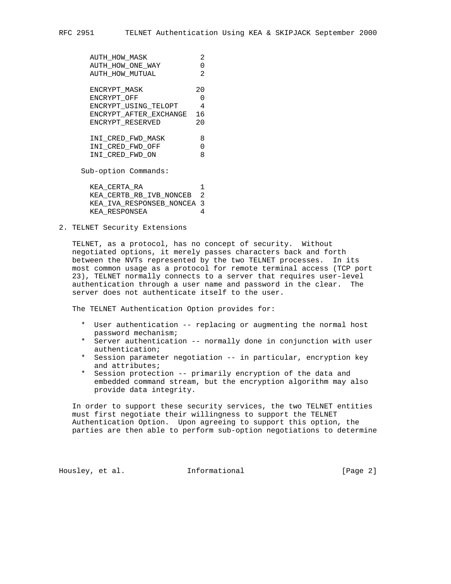| <b>AUTH HOW MASK</b>   | 2.  |
|------------------------|-----|
| AUTH HOW ONE WAY       | 0   |
| AUTH HOW MUTUAL        | 2.  |
|                        |     |
| ENCRYPT MASK           | 20  |
| ENCRYPT OFF            | O   |
| ENCRYPT USING TELOPT   | 4   |
| ENCRYPT AFTER EXCHANGE | 16  |
| ENCRYPT RESERVED       | 2.0 |
|                        |     |
| INI CRED FWD MASK      | 8   |
| INI CRED FWD OFF       | U   |
| INI CRED_FWD_ON        | 8   |
| Sub-option Commands:   |     |

 KEA\_CERTA\_RA 1 KEA\_CERTB\_RB\_IVB\_NONCEB 2 KEA\_IVA\_RESPONSEB\_NONCEA 3 KEA\_RESPONSEA 4

2. TELNET Security Extensions

 TELNET, as a protocol, has no concept of security. Without negotiated options, it merely passes characters back and forth between the NVTs represented by the two TELNET processes. In its most common usage as a protocol for remote terminal access (TCP port 23), TELNET normally connects to a server that requires user-level authentication through a user name and password in the clear. The server does not authenticate itself to the user.

The TELNET Authentication Option provides for:

- \* User authentication -- replacing or augmenting the normal host password mechanism;
- \* Server authentication -- normally done in conjunction with user authentication;
- \* Session parameter negotiation -- in particular, encryption key and attributes;
- \* Session protection -- primarily encryption of the data and embedded command stream, but the encryption algorithm may also provide data integrity.

 In order to support these security services, the two TELNET entities must first negotiate their willingness to support the TELNET Authentication Option. Upon agreeing to support this option, the parties are then able to perform sub-option negotiations to determine

Housley, et al. **Informational** [Page 2]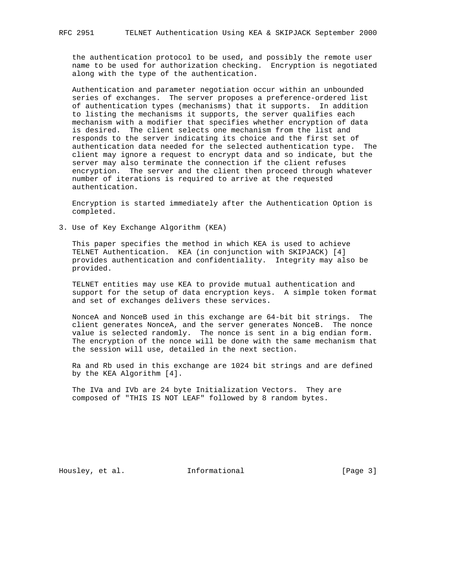the authentication protocol to be used, and possibly the remote user name to be used for authorization checking. Encryption is negotiated along with the type of the authentication.

 Authentication and parameter negotiation occur within an unbounded series of exchanges. The server proposes a preference-ordered list of authentication types (mechanisms) that it supports. In addition to listing the mechanisms it supports, the server qualifies each mechanism with a modifier that specifies whether encryption of data is desired. The client selects one mechanism from the list and responds to the server indicating its choice and the first set of authentication data needed for the selected authentication type. The client may ignore a request to encrypt data and so indicate, but the server may also terminate the connection if the client refuses encryption. The server and the client then proceed through whatever number of iterations is required to arrive at the requested authentication.

 Encryption is started immediately after the Authentication Option is completed.

3. Use of Key Exchange Algorithm (KEA)

 This paper specifies the method in which KEA is used to achieve TELNET Authentication. KEA (in conjunction with SKIPJACK) [4] provides authentication and confidentiality. Integrity may also be provided.

 TELNET entities may use KEA to provide mutual authentication and support for the setup of data encryption keys. A simple token format and set of exchanges delivers these services.

 NonceA and NonceB used in this exchange are 64-bit bit strings. The client generates NonceA, and the server generates NonceB. The nonce value is selected randomly. The nonce is sent in a big endian form. The encryption of the nonce will be done with the same mechanism that the session will use, detailed in the next section.

 Ra and Rb used in this exchange are 1024 bit strings and are defined by the KEA Algorithm [4].

 The IVa and IVb are 24 byte Initialization Vectors. They are composed of "THIS IS NOT LEAF" followed by 8 random bytes.

Housley, et al. **Informational** [Page 3]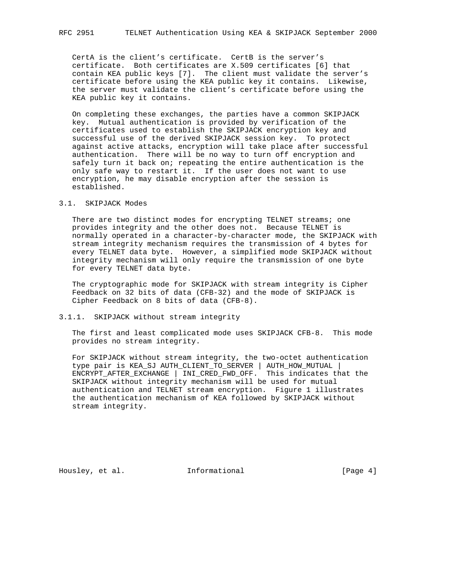CertA is the client's certificate. CertB is the server's certificate. Both certificates are X.509 certificates [6] that contain KEA public keys [7]. The client must validate the server's certificate before using the KEA public key it contains. Likewise, the server must validate the client's certificate before using the KEA public key it contains.

 On completing these exchanges, the parties have a common SKIPJACK key. Mutual authentication is provided by verification of the certificates used to establish the SKIPJACK encryption key and successful use of the derived SKIPJACK session key. To protect against active attacks, encryption will take place after successful authentication. There will be no way to turn off encryption and safely turn it back on; repeating the entire authentication is the only safe way to restart it. If the user does not want to use encryption, he may disable encryption after the session is established.

# 3.1. SKIPJACK Modes

There are two distinct modes for encrypting TELNET streams; one provides integrity and the other does not. Because TELNET is normally operated in a character-by-character mode, the SKIPJACK with stream integrity mechanism requires the transmission of 4 bytes for every TELNET data byte. However, a simplified mode SKIPJACK without integrity mechanism will only require the transmission of one byte for every TELNET data byte.

 The cryptographic mode for SKIPJACK with stream integrity is Cipher Feedback on 32 bits of data (CFB-32) and the mode of SKIPJACK is Cipher Feedback on 8 bits of data (CFB-8).

### 3.1.1. SKIPJACK without stream integrity

 The first and least complicated mode uses SKIPJACK CFB-8. This mode provides no stream integrity.

 For SKIPJACK without stream integrity, the two-octet authentication type pair is KEA\_SJ AUTH\_CLIENT\_TO\_SERVER | AUTH\_HOW\_MUTUAL | ENCRYPT\_AFTER\_EXCHANGE | INI\_CRED\_FWD\_OFF. This indicates that the SKIPJACK without integrity mechanism will be used for mutual authentication and TELNET stream encryption. Figure 1 illustrates the authentication mechanism of KEA followed by SKIPJACK without stream integrity.

Housley, et al. 1nformational 1999 [Page 4]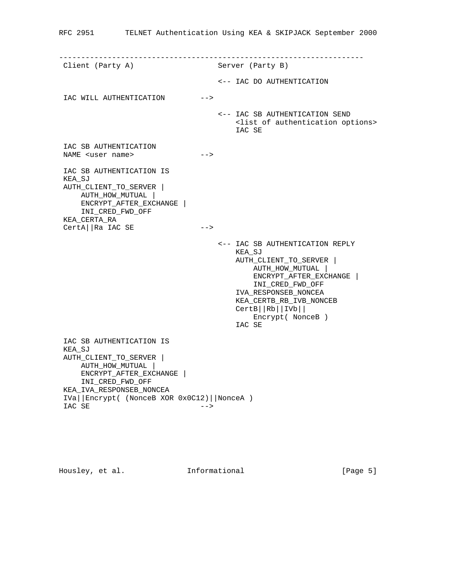| Client (Party A)                                                                                                                                                                                            |        | Server (Party B)                                                                                                                                                                                                                                                       |
|-------------------------------------------------------------------------------------------------------------------------------------------------------------------------------------------------------------|--------|------------------------------------------------------------------------------------------------------------------------------------------------------------------------------------------------------------------------------------------------------------------------|
|                                                                                                                                                                                                             |        | <-- IAC DO AUTHENTICATION                                                                                                                                                                                                                                              |
| IAC WILL AUTHENTICATION                                                                                                                                                                                     | $--$   |                                                                                                                                                                                                                                                                        |
|                                                                                                                                                                                                             |        | <-- IAC SB AUTHENTICATION SEND<br><list authentication="" of="" options=""><br/>IAC SE</list>                                                                                                                                                                          |
| IAC SB AUTHENTICATION<br>NAME <user name=""></user>                                                                                                                                                         | $--&>$ |                                                                                                                                                                                                                                                                        |
| IAC SB AUTHENTICATION IS<br>KEA_SJ<br>AUTH_CLIENT_TO_SERVER<br>AUTH_HOW_MUTUAL<br>ENCRYPT_AFTER_EXCHANGE<br>INI_CRED_FWD_OFF<br>KEA CERTA RA<br>CertA  Ra IAC SE                                            | $--$   |                                                                                                                                                                                                                                                                        |
|                                                                                                                                                                                                             |        | <-- IAC SB AUTHENTICATION REPLY<br>KEA_SJ<br>AUTH_CLIENT_TO_SERVER  <br>AUTH_HOW_MUTUAL  <br>ENCRYPT_AFTER_EXCHANGE<br>INI_CRED_FWD_OFF<br>IVA_RESPONSEB_NONCEA<br>KEA_CERTB_RB_IVB_NONCEB<br>$CertB \mid Rb \mid \vert IVb \vert \vert$<br>Encrypt (NonceB)<br>IAC SE |
| IAC SB AUTHENTICATION IS<br>KEA SJ<br>AUTH_CLIENT_TO_SERVER  <br>AUTH_HOW_MUTUAL<br>ENCRYPT_AFTER_EXCHANGE  <br>INI_CRED_FWD_OFF<br>KEA_IVA_RESPONSEB_NONCEA<br>IVa  Encrypt( (NonceB XOR 0x0C12)  NonceA ) |        |                                                                                                                                                                                                                                                                        |
| IAC SE                                                                                                                                                                                                      | -->    |                                                                                                                                                                                                                                                                        |

Housley, et al. **Informational** [Page 5]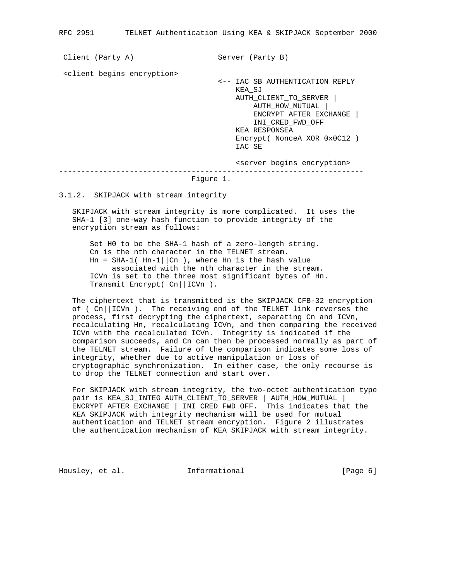Client (Party A) Server (Party B) <client begins encryption> <-- IAC SB AUTHENTICATION REPLY KEA\_SJ AUTH\_CLIENT\_TO\_SERVER | AUTH\_HOW\_MUTUAL | ENCRYPT\_AFTER\_EXCHANGE | INI\_CRED\_FWD\_OFF KEA\_RESPONSEA Encrypt( NonceA XOR 0x0C12 ) IAC SE <server begins encryption> --------------------------------------------------------------------- Figure 1.

3.1.2. SKIPJACK with stream integrity

 SKIPJACK with stream integrity is more complicated. It uses the SHA-1 [3] one-way hash function to provide integrity of the encryption stream as follows:

 Set H0 to be the SHA-1 hash of a zero-length string. Cn is the nth character in the TELNET stream.  $Hn = SHA-1( Hn-1 || Cn )$ , where Hn is the hash value associated with the nth character in the stream. ICVn is set to the three most significant bytes of Hn. Transmit Encrypt( Cn||ICVn ).

 The ciphertext that is transmitted is the SKIPJACK CFB-32 encryption of ( $Cn$ ||ICVn). The receiving end of the TELNET link reverses the process, first decrypting the ciphertext, separating Cn and ICVn, recalculating Hn, recalculating ICVn, and then comparing the received ICVn with the recalculated ICVn. Integrity is indicated if the comparison succeeds, and Cn can then be processed normally as part of the TELNET stream. Failure of the comparison indicates some loss of integrity, whether due to active manipulation or loss of cryptographic synchronization. In either case, the only recourse is to drop the TELNET connection and start over.

 For SKIPJACK with stream integrity, the two-octet authentication type pair is KEA\_SJ\_INTEG AUTH\_CLIENT\_TO\_SERVER | AUTH\_HOW\_MUTUAL | ENCRYPT\_AFTER\_EXCHANGE | INI\_CRED\_FWD\_OFF. This indicates that the KEA SKIPJACK with integrity mechanism will be used for mutual authentication and TELNET stream encryption. Figure 2 illustrates the authentication mechanism of KEA SKIPJACK with stream integrity.

Housley, et al. **Informational** [Page 6]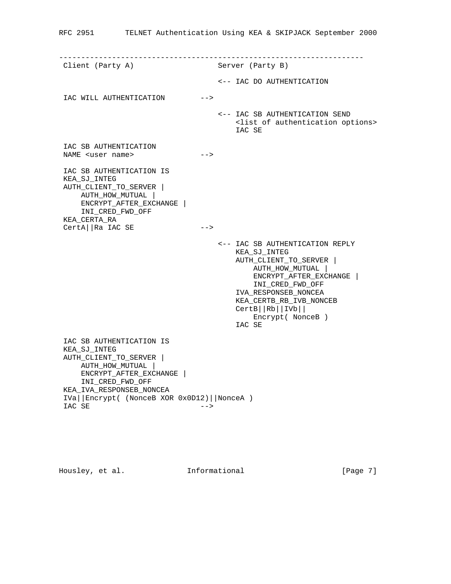|                                                                                                                                                                    |      | ________________________________                                                                                                                                                                                                                                   |
|--------------------------------------------------------------------------------------------------------------------------------------------------------------------|------|--------------------------------------------------------------------------------------------------------------------------------------------------------------------------------------------------------------------------------------------------------------------|
| Client (Party A)                                                                                                                                                   |      | Server (Party B)                                                                                                                                                                                                                                                   |
|                                                                                                                                                                    |      | <-- IAC DO AUTHENTICATION                                                                                                                                                                                                                                          |
| IAC WILL AUTHENTICATION                                                                                                                                            | $--$ |                                                                                                                                                                                                                                                                    |
|                                                                                                                                                                    |      | <-- IAC SB AUTHENTICATION SEND<br><list authentication="" of="" options=""><br/>IAC SE</list>                                                                                                                                                                      |
| IAC SB AUTHENTICATION<br>NAME <user name=""></user>                                                                                                                | -->  |                                                                                                                                                                                                                                                                    |
| IAC SB AUTHENTICATION IS<br>KEA SJ INTEG<br>AUTH_CLIENT_TO_SERVER  <br>AUTH_HOW_MUTUAL  <br>ENCRYPT_AFTER_EXCHANGE  <br>INI_CRED_FWD_OFF<br>KEA_CERTA_RA           |      |                                                                                                                                                                                                                                                                    |
| CertA  Ra IAC SE                                                                                                                                                   | $--$ |                                                                                                                                                                                                                                                                    |
|                                                                                                                                                                    |      | <-- IAC SB AUTHENTICATION REPLY<br>KEA SJ INTEG<br>AUTH_CLIENT_TO_SERVER  <br>AUTH_HOW_MUTUAL  <br>ENCRYPT_AFTER_EXCHANGE<br>INI_CRED_FWD_OFF<br>IVA_RESPONSEB_NONCEA<br>KEA_CERTB_RB_IVB_NONCEB<br>$CertB \mid Rb \mid  IVb \mid  $<br>Encrypt (NonceB)<br>IAC SE |
| IAC SB AUTHENTICATION IS<br>KEA_SJ_INTEG<br>AUTH CLIENT TO SERVER<br>AUTH_HOW_MUTUAL  <br>ENCRYPT AFTER EXCHANGE  <br>INI_CRED_FWD_OFF<br>KEA IVA RESPONSEB NONCEA |      |                                                                                                                                                                                                                                                                    |

 IVa||Encrypt( (NonceB XOR 0x0D12)||NonceA ) IAC SE -->

Housley, et al. **Informational** [Page 7]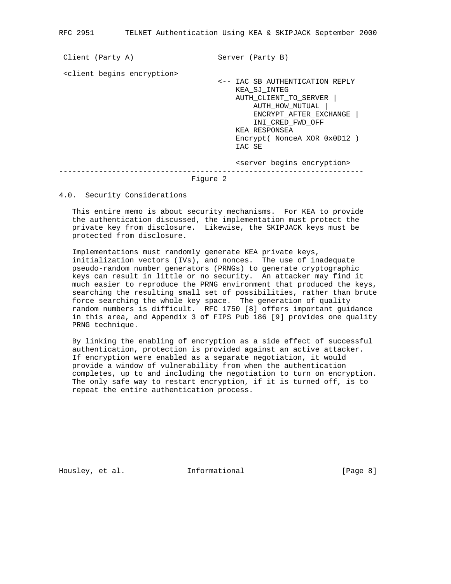| Client (Party A)                          | Server (Party B)                                                                                                                          |
|-------------------------------------------|-------------------------------------------------------------------------------------------------------------------------------------------|
| <client begins="" encryption=""></client> | <-- IAC SB AUTHENTICATION REPLY<br>KEA SJ INTEG<br>AUTH CLIENT TO SERVER<br>AUTH HOW MUTUAL<br>ENCRYPT AFTER EXCHANGE<br>INI CRED FWD OFF |
|                                           | KEA RESPONSEA<br>Encrypt (NonceA XOR 0x0D12)<br>IAC SE<br><server begins="" encryption=""></server>                                       |
| Figure 2                                  |                                                                                                                                           |

### 4.0. Security Considerations

 This entire memo is about security mechanisms. For KEA to provide the authentication discussed, the implementation must protect the private key from disclosure. Likewise, the SKIPJACK keys must be protected from disclosure.

 Implementations must randomly generate KEA private keys, initialization vectors (IVs), and nonces. The use of inadequate pseudo-random number generators (PRNGs) to generate cryptographic keys can result in little or no security. An attacker may find it much easier to reproduce the PRNG environment that produced the keys, searching the resulting small set of possibilities, rather than brute force searching the whole key space. The generation of quality random numbers is difficult. RFC 1750 [8] offers important guidance in this area, and Appendix 3 of FIPS Pub 186 [9] provides one quality PRNG technique.

 By linking the enabling of encryption as a side effect of successful authentication, protection is provided against an active attacker. If encryption were enabled as a separate negotiation, it would provide a window of vulnerability from when the authentication completes, up to and including the negotiation to turn on encryption. The only safe way to restart encryption, if it is turned off, is to repeat the entire authentication process.

Housley, et al. **Informational** [Page 8]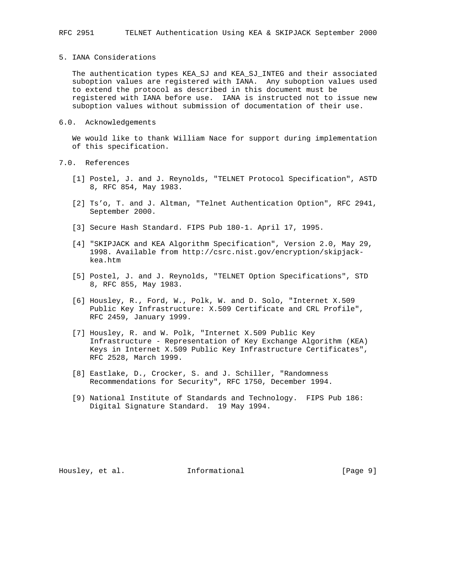### 5. IANA Considerations

 The authentication types KEA\_SJ and KEA\_SJ\_INTEG and their associated suboption values are registered with IANA. Any suboption values used to extend the protocol as described in this document must be registered with IANA before use. IANA is instructed not to issue new suboption values without submission of documentation of their use.

### 6.0. Acknowledgements

 We would like to thank William Nace for support during implementation of this specification.

- 7.0. References
	- [1] Postel, J. and J. Reynolds, "TELNET Protocol Specification", ASTD 8, RFC 854, May 1983.
	- [2] Ts'o, T. and J. Altman, "Telnet Authentication Option", RFC 2941, September 2000.
	- [3] Secure Hash Standard. FIPS Pub 180-1. April 17, 1995.
	- [4] "SKIPJACK and KEA Algorithm Specification", Version 2.0, May 29, 1998. Available from http://csrc.nist.gov/encryption/skipjack kea.htm
	- [5] Postel, J. and J. Reynolds, "TELNET Option Specifications", STD 8, RFC 855, May 1983.
	- [6] Housley, R., Ford, W., Polk, W. and D. Solo, "Internet X.509 Public Key Infrastructure: X.509 Certificate and CRL Profile", RFC 2459, January 1999.
	- [7] Housley, R. and W. Polk, "Internet X.509 Public Key Infrastructure - Representation of Key Exchange Algorithm (KEA) Keys in Internet X.509 Public Key Infrastructure Certificates", RFC 2528, March 1999.
	- [8] Eastlake, D., Crocker, S. and J. Schiller, "Randomness Recommendations for Security", RFC 1750, December 1994.
	- [9) National Institute of Standards and Technology. FIPS Pub 186: Digital Signature Standard. 19 May 1994.

Housley, et al. 1nformational 1999 [Page 9]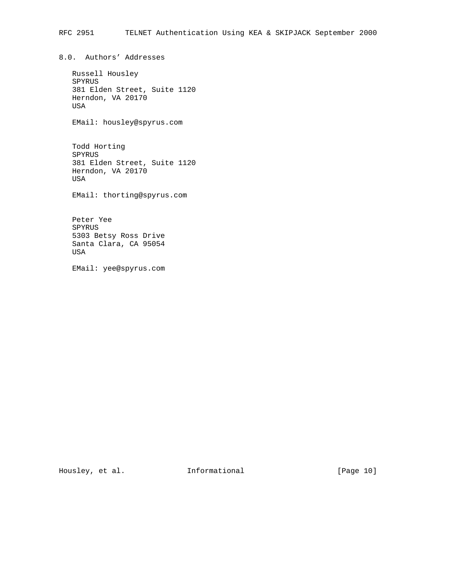8.0. Authors' Addresses

```
 Russell Housley
 SPYRUS
 381 Elden Street, Suite 1120
 Herndon, VA 20170
 USA
```
EMail: housley@spyrus.com

 Todd Horting SPYRUS 381 Elden Street, Suite 1120 Herndon, VA 20170 USA

EMail: thorting@spyrus.com

 Peter Yee SPYRUS 5303 Betsy Ross Drive Santa Clara, CA 95054 USA

EMail: yee@spyrus.com

Housley, et al. 1nformational [Page 10]